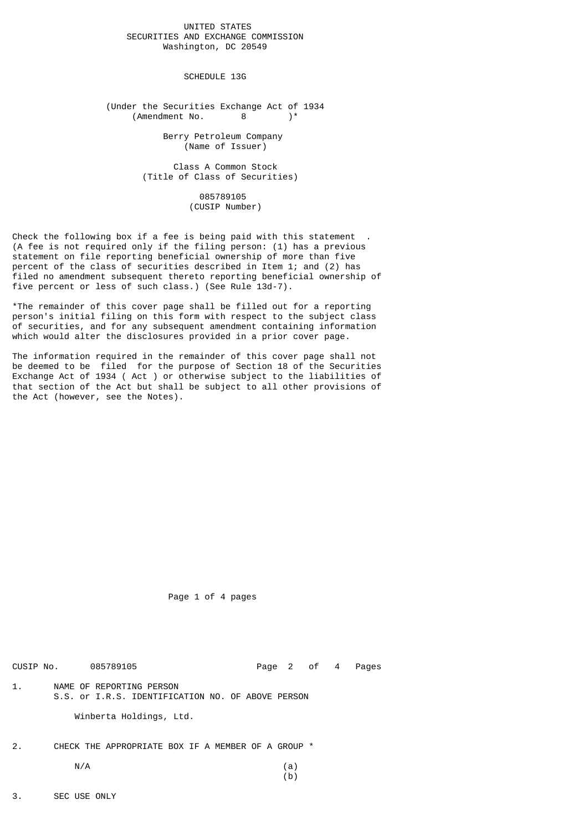## UNITED STATES SECURITIES AND EXCHANGE COMMISSION Washington, DC 20549

SCHEDULE 13G

(Under the Securities Exchange Act of 1934<br>(Amendment No.  $8$ )\*  $(Amendment No. 8)$ \*

> Berry Petroleum Company (Name of Issuer)

 Class A Common Stock (Title of Class of Securities)

> 085789105 (CUSIP Number)

Check the following box if a fee is being paid with this statement . (A fee is not required only if the filing person: (1) has a previous statement on file reporting beneficial ownership of more than five percent of the class of securities described in Item 1; and (2) has filed no amendment subsequent thereto reporting beneficial ownership of five percent or less of such class.) (See Rule 13d-7).

\*The remainder of this cover page shall be filled out for a reporting person's initial filing on this form with respect to the subject class of securities, and for any subsequent amendment containing information which would alter the disclosures provided in a prior cover page.

The information required in the remainder of this cover page shall not be deemed to be filed for the purpose of Section 18 of the Securities Exchange Act of 1934 ( Act ) or otherwise subject to the liabilities of that section of the Act but shall be subject to all other provisions of the Act (however, see the Notes).

Page 1 of 4 pages

CUSIP No. 085789105 Page 2 of 4 Pages 1. NAME OF REPORTING PERSON S.S. or I.R.S. IDENTIFICATION NO. OF ABOVE PERSON

Winberta Holdings, Ltd.

2. CHECK THE APPROPRIATE BOX IF A MEMBER OF A GROUP \*  $N/A$  (a)

3. SEC USE ONLY

(b)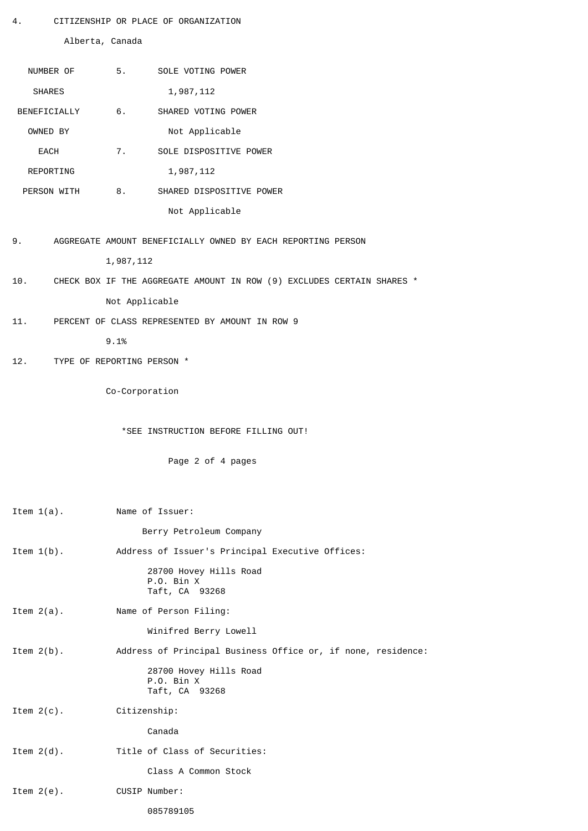4. CITIZENSHIP OR PLACE OF ORGANIZATION

Alberta, Canada

| NUMBER OF     |                            | 5. SOLE VOTING POWER                                                   |
|---------------|----------------------------|------------------------------------------------------------------------|
| <b>SHARES</b> |                            | 1,987,112                                                              |
| BENEFICIALLY  |                            | SHARED VOTING POWER                                                    |
| OWNED BY      |                            | Not Applicable                                                         |
| EACH          | 7.                         | SOLE DISPOSITIVE POWER                                                 |
| REPORTING     |                            | 1,987,112                                                              |
| PERSON WITH   | 8.                         | SHARED DISPOSITIVE POWER                                               |
|               |                            | Not Applicable                                                         |
| 9.            |                            | AGGREGATE AMOUNT BENEFICIALLY OWNED BY EACH REPORTING PERSON           |
|               | 1,987,112                  |                                                                        |
| 10.           |                            | CHECK BOX IF THE AGGREGATE AMOUNT IN ROW (9) EXCLUDES CERTAIN SHARES * |
|               | Not Applicable             |                                                                        |
| 11.           |                            | PERCENT OF CLASS REPRESENTED BY AMOUNT IN ROW 9                        |
|               | 9.1%                       |                                                                        |
| 12.           | TYPE OF REPORTING PERSON * |                                                                        |
|               |                            |                                                                        |
|               | Co-Corporation             |                                                                        |
|               |                            |                                                                        |
|               |                            | *SEE INSTRUCTION BEFORE FILLING OUT!                                   |
|               |                            | Page 2 of 4 pages                                                      |
|               |                            |                                                                        |
|               |                            | Name of Issuer:                                                        |
| Item $1(a)$ . |                            | Berry Petroleum Company                                                |
| Item $1(b)$ . |                            | Address of Issuer's Principal Executive Offices:                       |
|               |                            | 28700 Hovey Hills Road                                                 |
|               |                            | P.O. Bin X<br>Taft, CA 93268                                           |
| Item $2(a)$ . |                            | Name of Person Filing:                                                 |
|               |                            | Winifred Berry Lowell                                                  |
| Item $2(b)$ . |                            | Address of Principal Business Office or, if none, residence:           |
|               |                            | 28700 Hovey Hills Road                                                 |
|               |                            | P.O. Bin X<br>Taft, CA 93268                                           |
| Item $2(c)$ . | Citizenship:               |                                                                        |
|               |                            | Canada                                                                 |
| Item $2(d)$ . |                            | Title of Class of Securities:                                          |
|               |                            | Class A Common Stock                                                   |
| Item $2(e)$ . |                            | CUSIP Number:                                                          |
|               |                            | 085789105                                                              |